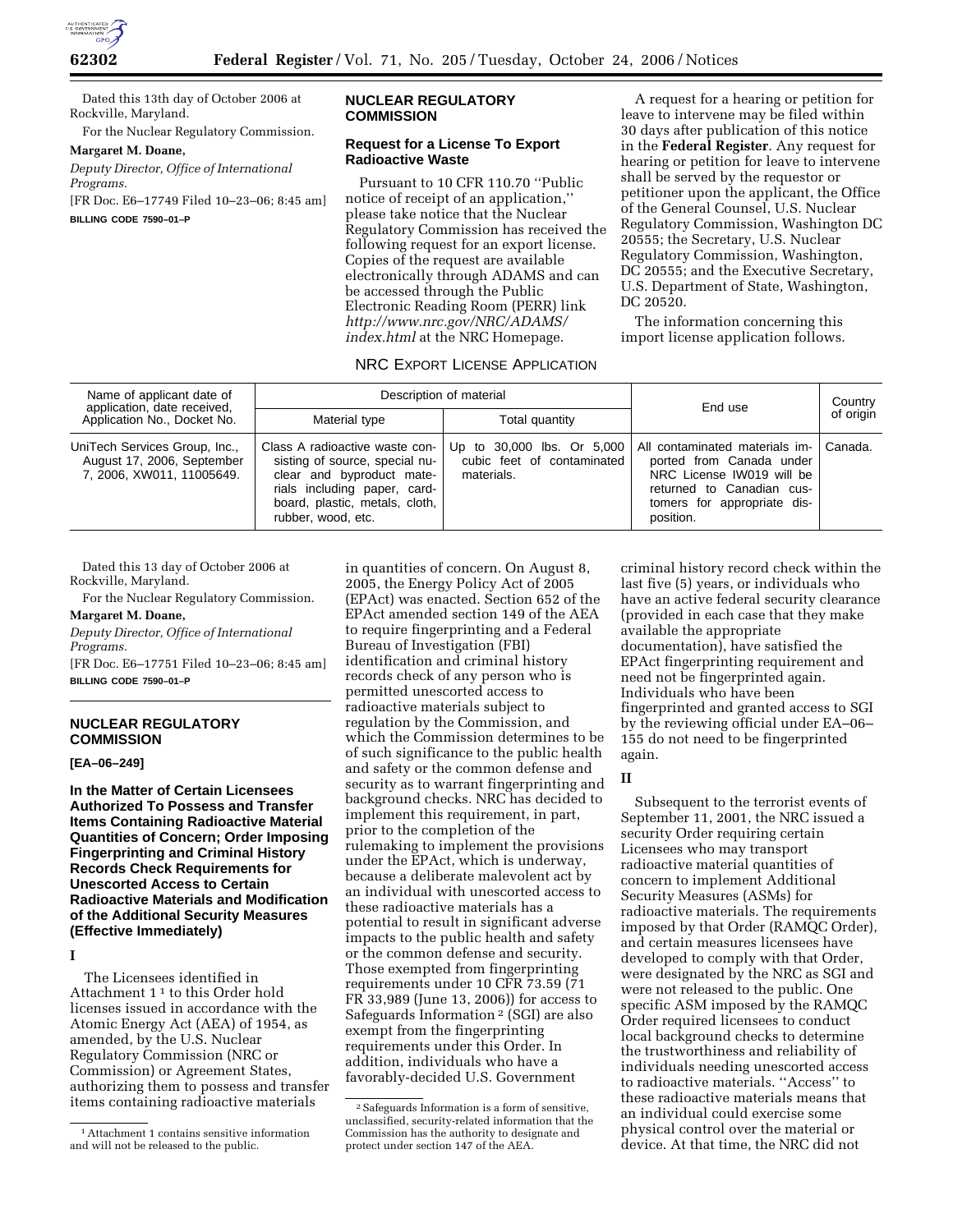

Dated this 13th day of October 2006 at Rockville, Maryland.

For the Nuclear Regulatory Commission.

## **Margaret M. Doane,**

*Deputy Director, Office of International Programs.* 

[FR Doc. E6–17749 Filed 10–23–06; 8:45 am] **BILLING CODE 7590–01–P** 

# **NUCLEAR REGULATORY COMMISSION**

# **Request for a License To Export Radioactive Waste**

Pursuant to 10 CFR 110.70 ''Public notice of receipt of an application,'' please take notice that the Nuclear Regulatory Commission has received the following request for an export license. Copies of the request are available electronically through ADAMS and can be accessed through the Public Electronic Reading Room (PERR) link *http://www.nrc.gov/NRC/ADAMS/ index.html* at the NRC Homepage.

A request for a hearing or petition for leave to intervene may be filed within 30 days after publication of this notice in the **Federal Register**. Any request for hearing or petition for leave to intervene shall be served by the requestor or petitioner upon the applicant, the Office of the General Counsel, U.S. Nuclear Regulatory Commission, Washington DC 20555; the Secretary, U.S. Nuclear Regulatory Commission, Washington, DC 20555; and the Executive Secretary, U.S. Department of State, Washington, DC 20520.

The information concerning this import license application follows.

# NRC EXPORT LICENSE APPLICATION

| Name of applicant date of<br>application, date received,<br>Application No., Docket No.  | Description of material                                                                                                                                                               |                                                                        | End use                                                                                                                                                          | Country   |
|------------------------------------------------------------------------------------------|---------------------------------------------------------------------------------------------------------------------------------------------------------------------------------------|------------------------------------------------------------------------|------------------------------------------------------------------------------------------------------------------------------------------------------------------|-----------|
|                                                                                          | Material type                                                                                                                                                                         | Total quantity                                                         |                                                                                                                                                                  | of origin |
| UniTech Services Group, Inc.,<br>August 17, 2006, September<br>7, 2006, XW011, 11005649. | Class A radioactive waste con-<br>sisting of source, special nu-<br>clear and byproduct mate-<br>rials including paper, card-<br>board, plastic, metals, cloth,<br>rubber, wood, etc. | Up to 30,000 lbs. Or 5,000<br>cubic feet of contaminated<br>materials. | All contaminated materials im-<br>ported from Canada under<br>NRC License IW019 will be<br>returned to Canadian cus-<br>tomers for appropriate dis-<br>position. | Canada.   |

Dated this 13 day of October 2006 at Rockville, Maryland.

For the Nuclear Regulatory Commission.

# **Margaret M. Doane,**

*Deputy Director, Office of International Programs.* 

[FR Doc. E6–17751 Filed 10–23–06; 8:45 am] **BILLING CODE 7590–01–P** 

# **NUCLEAR REGULATORY COMMISSION**

## **[EA–06–249]**

**In the Matter of Certain Licensees Authorized To Possess and Transfer Items Containing Radioactive Material Quantities of Concern; Order Imposing Fingerprinting and Criminal History Records Check Requirements for Unescorted Access to Certain Radioactive Materials and Modification of the Additional Security Measures (Effective Immediately)** 

**I** 

The Licensees identified in Attachment 1 1 to this Order hold licenses issued in accordance with the Atomic Energy Act (AEA) of 1954, as amended, by the U.S. Nuclear Regulatory Commission (NRC or Commission) or Agreement States, authorizing them to possess and transfer items containing radioactive materials

in quantities of concern. On August 8, 2005, the Energy Policy Act of 2005 (EPAct) was enacted. Section 652 of the EPAct amended section 149 of the AEA to require fingerprinting and a Federal Bureau of Investigation (FBI) identification and criminal history records check of any person who is permitted unescorted access to radioactive materials subject to regulation by the Commission, and which the Commission determines to be of such significance to the public health and safety or the common defense and security as to warrant fingerprinting and background checks. NRC has decided to implement this requirement, in part, prior to the completion of the rulemaking to implement the provisions under the EPAct, which is underway, because a deliberate malevolent act by an individual with unescorted access to these radioactive materials has a potential to result in significant adverse impacts to the public health and safety or the common defense and security. Those exempted from fingerprinting requirements under 10 CFR 73.59 (71 FR 33,989 (June 13, 2006)) for access to Safeguards Information 2 (SGI) are also exempt from the fingerprinting requirements under this Order. In addition, individuals who have a favorably-decided U.S. Government

criminal history record check within the last five (5) years, or individuals who have an active federal security clearance (provided in each case that they make available the appropriate documentation), have satisfied the EPAct fingerprinting requirement and need not be fingerprinted again. Individuals who have been fingerprinted and granted access to SGI by the reviewing official under EA–06– 155 do not need to be fingerprinted again.

# **II**

Subsequent to the terrorist events of September 11, 2001, the NRC issued a security Order requiring certain Licensees who may transport radioactive material quantities of concern to implement Additional Security Measures (ASMs) for radioactive materials. The requirements imposed by that Order (RAMQC Order), and certain measures licensees have developed to comply with that Order, were designated by the NRC as SGI and were not released to the public. One specific ASM imposed by the RAMQC Order required licensees to conduct local background checks to determine the trustworthiness and reliability of individuals needing unescorted access to radioactive materials. ''Access'' to these radioactive materials means that an individual could exercise some physical control over the material or device. At that time, the NRC did not

<sup>1</sup>Attachment 1 contains sensitive information and will not be released to the public.

<sup>2</sup>Safeguards Information is a form of sensitive, unclassified, security-related information that the Commission has the authority to designate and protect under section 147 of the AEA.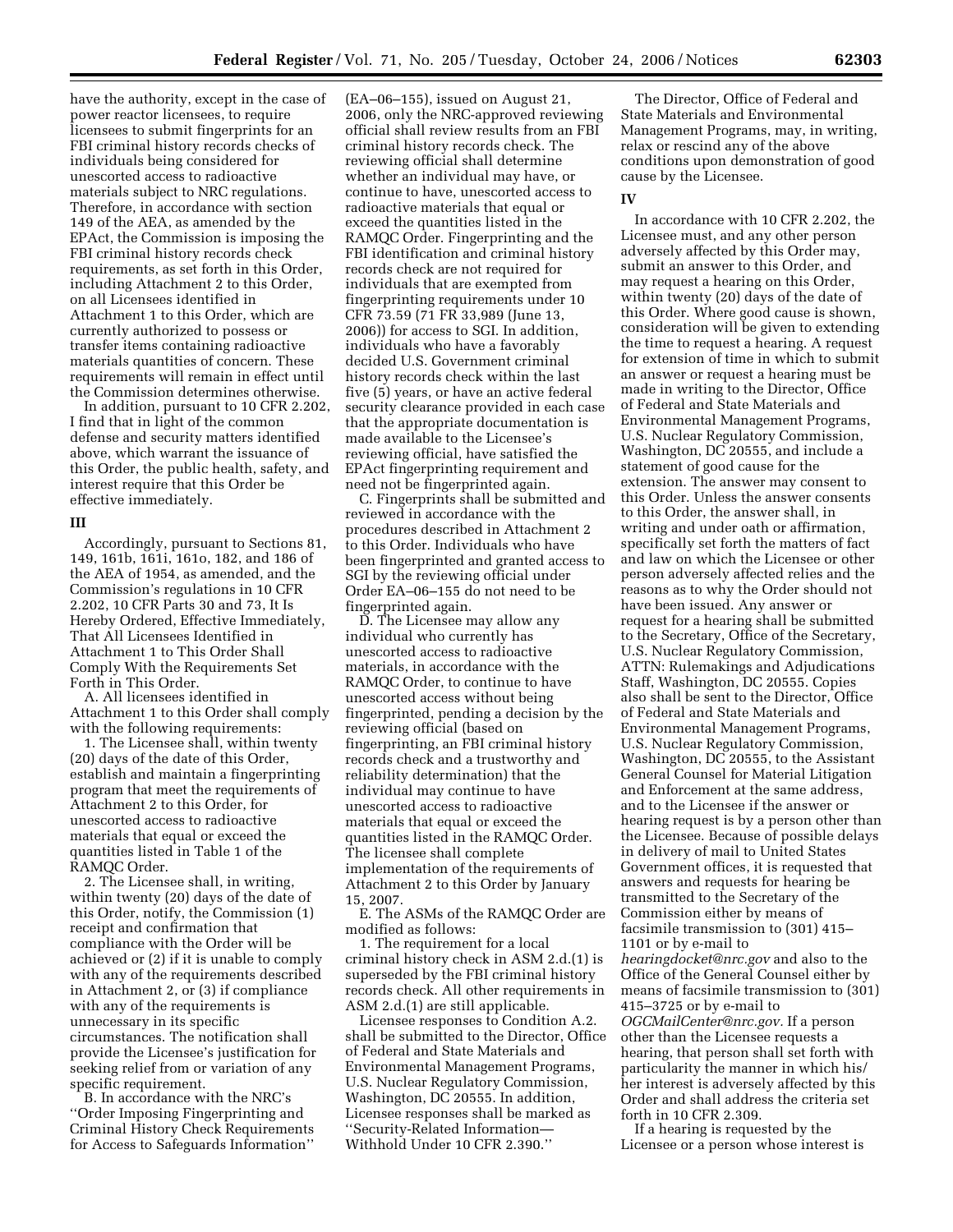have the authority, except in the case of power reactor licensees, to require licensees to submit fingerprints for an FBI criminal history records checks of individuals being considered for unescorted access to radioactive materials subject to NRC regulations. Therefore, in accordance with section 149 of the AEA, as amended by the EPAct, the Commission is imposing the FBI criminal history records check requirements, as set forth in this Order, including Attachment 2 to this Order, on all Licensees identified in Attachment 1 to this Order, which are currently authorized to possess or transfer items containing radioactive materials quantities of concern. These requirements will remain in effect until the Commission determines otherwise.

In addition, pursuant to 10 CFR 2.202, I find that in light of the common defense and security matters identified above, which warrant the issuance of this Order, the public health, safety, and interest require that this Order be effective immediately.

## **III**

Accordingly, pursuant to Sections 81, 149, 161b, 161i, 161o, 182, and 186 of the AEA of 1954, as amended, and the Commission's regulations in 10 CFR 2.202, 10 CFR Parts 30 and 73, It Is Hereby Ordered, Effective Immediately, That All Licensees Identified in Attachment 1 to This Order Shall Comply With the Requirements Set Forth in This Order.

A. All licensees identified in Attachment 1 to this Order shall comply with the following requirements:

1. The Licensee shall, within twenty (20) days of the date of this Order, establish and maintain a fingerprinting program that meet the requirements of Attachment 2 to this Order, for unescorted access to radioactive materials that equal or exceed the quantities listed in Table 1 of the RAMQC Order.

2. The Licensee shall, in writing, within twenty (20) days of the date of this Order, notify, the Commission (1) receipt and confirmation that compliance with the Order will be achieved or (2) if it is unable to comply with any of the requirements described in Attachment 2, or (3) if compliance with any of the requirements is unnecessary in its specific circumstances. The notification shall provide the Licensee's justification for seeking relief from or variation of any specific requirement.

B. In accordance with the NRC's ''Order Imposing Fingerprinting and Criminal History Check Requirements for Access to Safeguards Information''

(EA–06–155), issued on August 21, 2006, only the NRC-approved reviewing official shall review results from an FBI criminal history records check. The reviewing official shall determine whether an individual may have, or continue to have, unescorted access to radioactive materials that equal or exceed the quantities listed in the RAMQC Order. Fingerprinting and the FBI identification and criminal history records check are not required for individuals that are exempted from fingerprinting requirements under 10 CFR 73.59 (71 FR 33,989 (June 13, 2006)) for access to SGI. In addition, individuals who have a favorably decided U.S. Government criminal history records check within the last five (5) years, or have an active federal security clearance provided in each case that the appropriate documentation is made available to the Licensee's reviewing official, have satisfied the EPAct fingerprinting requirement and need not be fingerprinted again.

C. Fingerprints shall be submitted and reviewed in accordance with the procedures described in Attachment 2 to this Order. Individuals who have been fingerprinted and granted access to SGI by the reviewing official under Order EA–06–155 do not need to be fingerprinted again.

D. The Licensee may allow any individual who currently has unescorted access to radioactive materials, in accordance with the RAMQC Order, to continue to have unescorted access without being fingerprinted, pending a decision by the reviewing official (based on fingerprinting, an FBI criminal history records check and a trustworthy and reliability determination) that the individual may continue to have unescorted access to radioactive materials that equal or exceed the quantities listed in the RAMQC Order. The licensee shall complete implementation of the requirements of Attachment 2 to this Order by January 15, 2007.

E. The ASMs of the RAMQC Order are modified as follows:

1. The requirement for a local criminal history check in ASM 2.d.(1) is superseded by the FBI criminal history records check. All other requirements in ASM 2.d.(1) are still applicable.

Licensee responses to Condition A.2. shall be submitted to the Director, Office of Federal and State Materials and Environmental Management Programs, U.S. Nuclear Regulatory Commission, Washington, DC 20555. In addition, Licensee responses shall be marked as ''Security-Related Information— Withhold Under 10 CFR 2.390.''

The Director, Office of Federal and State Materials and Environmental Management Programs, may, in writing, relax or rescind any of the above conditions upon demonstration of good cause by the Licensee.

#### **IV**

In accordance with 10 CFR 2.202, the Licensee must, and any other person adversely affected by this Order may, submit an answer to this Order, and may request a hearing on this Order, within twenty (20) days of the date of this Order. Where good cause is shown, consideration will be given to extending the time to request a hearing. A request for extension of time in which to submit an answer or request a hearing must be made in writing to the Director, Office of Federal and State Materials and Environmental Management Programs, U.S. Nuclear Regulatory Commission, Washington, DC 20555, and include a statement of good cause for the extension. The answer may consent to this Order. Unless the answer consents to this Order, the answer shall, in writing and under oath or affirmation, specifically set forth the matters of fact and law on which the Licensee or other person adversely affected relies and the reasons as to why the Order should not have been issued. Any answer or request for a hearing shall be submitted to the Secretary, Office of the Secretary, U.S. Nuclear Regulatory Commission, ATTN: Rulemakings and Adjudications Staff, Washington, DC 20555. Copies also shall be sent to the Director, Office of Federal and State Materials and Environmental Management Programs, U.S. Nuclear Regulatory Commission, Washington, DC 20555, to the Assistant General Counsel for Material Litigation and Enforcement at the same address, and to the Licensee if the answer or hearing request is by a person other than the Licensee. Because of possible delays in delivery of mail to United States Government offices, it is requested that answers and requests for hearing be transmitted to the Secretary of the Commission either by means of facsimile transmission to (301) 415– 1101 or by e-mail to *hearingdocket@nrc.gov* and also to the Office of the General Counsel either by means of facsimile transmission to (301) 415–3725 or by e-mail to *OGCMailCenter@nrc.gov.* If a person other than the Licensee requests a hearing, that person shall set forth with particularity the manner in which his/ her interest is adversely affected by this Order and shall address the criteria set forth in 10 CFR 2.309.

If a hearing is requested by the Licensee or a person whose interest is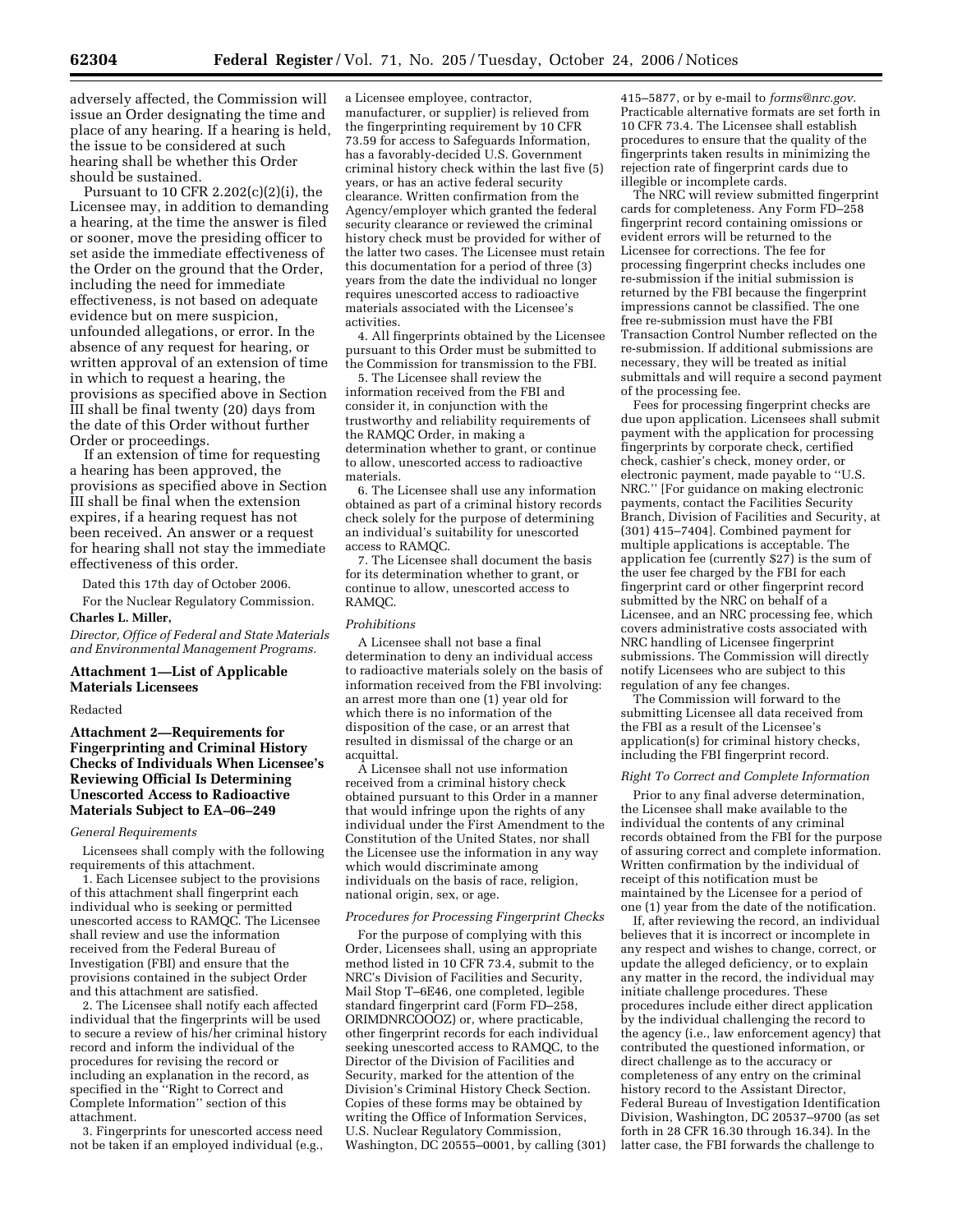adversely affected, the Commission will issue an Order designating the time and place of any hearing. If a hearing is held, the issue to be considered at such hearing shall be whether this Order should be sustained.

Pursuant to 10 CFR 2.202(c)(2)(i), the Licensee may, in addition to demanding a hearing, at the time the answer is filed or sooner, move the presiding officer to set aside the immediate effectiveness of the Order on the ground that the Order, including the need for immediate effectiveness, is not based on adequate evidence but on mere suspicion, unfounded allegations, or error. In the absence of any request for hearing, or written approval of an extension of time in which to request a hearing, the provisions as specified above in Section III shall be final twenty (20) days from the date of this Order without further Order or proceedings.

If an extension of time for requesting a hearing has been approved, the provisions as specified above in Section III shall be final when the extension expires, if a hearing request has not been received. An answer or a request for hearing shall not stay the immediate effectiveness of this order.

Dated this 17th day of October 2006.

For the Nuclear Regulatory Commission. **Charles L. Miller,** 

*Director, Office of Federal and State Materials and Environmental Management Programs.* 

#### **Attachment 1—List of Applicable Materials Licensees**

#### Redacted

# **Attachment 2—Requirements for Fingerprinting and Criminal History Checks of Individuals When Licensee's Reviewing Official Is Determining Unescorted Access to Radioactive Materials Subject to EA–06–249**

#### *General Requirements*

Licensees shall comply with the following requirements of this attachment.

1. Each Licensee subject to the provisions of this attachment shall fingerprint each individual who is seeking or permitted unescorted access to RAMQC. The Licensee shall review and use the information received from the Federal Bureau of Investigation (FBI) and ensure that the provisions contained in the subject Order and this attachment are satisfied.

2. The Licensee shall notify each affected individual that the fingerprints will be used to secure a review of his/her criminal history record and inform the individual of the procedures for revising the record or including an explanation in the record, as specified in the ''Right to Correct and Complete Information'' section of this attachment.

3. Fingerprints for unescorted access need not be taken if an employed individual (e.g.,

a Licensee employee, contractor, manufacturer, or supplier) is relieved from the fingerprinting requirement by 10 CFR 73.59 for access to Safeguards Information, has a favorably-decided U.S. Government criminal history check within the last five (5) years, or has an active federal security clearance. Written confirmation from the Agency/employer which granted the federal security clearance or reviewed the criminal history check must be provided for wither of the latter two cases. The Licensee must retain this documentation for a period of three (3) years from the date the individual no longer requires unescorted access to radioactive materials associated with the Licensee's activities.

4. All fingerprints obtained by the Licensee pursuant to this Order must be submitted to the Commission for transmission to the FBI.

5. The Licensee shall review the information received from the FBI and consider it, in conjunction with the trustworthy and reliability requirements of the RAMQC Order, in making a determination whether to grant, or continue to allow, unescorted access to radioactive materials.

6. The Licensee shall use any information obtained as part of a criminal history records check solely for the purpose of determining an individual's suitability for unescorted access to RAMQC.

7. The Licensee shall document the basis for its determination whether to grant, or continue to allow, unescorted access to RAMQC.

#### *Prohibitions*

A Licensee shall not base a final determination to deny an individual access to radioactive materials solely on the basis of information received from the FBI involving: an arrest more than one (1) year old for which there is no information of the disposition of the case, or an arrest that resulted in dismissal of the charge or an acquittal.

A Licensee shall not use information received from a criminal history check obtained pursuant to this Order in a manner that would infringe upon the rights of any individual under the First Amendment to the Constitution of the United States, nor shall the Licensee use the information in any way which would discriminate among individuals on the basis of race, religion, national origin, sex, or age.

## *Procedures for Processing Fingerprint Checks*

For the purpose of complying with this Order, Licensees shall, using an appropriate method listed in 10 CFR 73.4, submit to the NRC's Division of Facilities and Security, Mail Stop T–6E46, one completed, legible standard fingerprint card (Form FD–258, ORIMDNRCOOOZ) or, where practicable, other fingerprint records for each individual seeking unescorted access to RAMQC, to the Director of the Division of Facilities and Security, marked for the attention of the Division's Criminal History Check Section. Copies of these forms may be obtained by writing the Office of Information Services, U.S. Nuclear Regulatory Commission, Washington, DC 20555–0001, by calling (301)

415–5877, or by e-mail to *forms@nrc.gov.*  Practicable alternative formats are set forth in 10 CFR 73.4. The Licensee shall establish procedures to ensure that the quality of the fingerprints taken results in minimizing the rejection rate of fingerprint cards due to illegible or incomplete cards.

The NRC will review submitted fingerprint cards for completeness. Any Form FD–258 fingerprint record containing omissions or evident errors will be returned to the Licensee for corrections. The fee for processing fingerprint checks includes one re-submission if the initial submission is returned by the FBI because the fingerprint impressions cannot be classified. The one free re-submission must have the FBI Transaction Control Number reflected on the re-submission. If additional submissions are necessary, they will be treated as initial submittals and will require a second payment of the processing fee.

Fees for processing fingerprint checks are due upon application. Licensees shall submit payment with the application for processing fingerprints by corporate check, certified check, cashier's check, money order, or electronic payment, made payable to ''U.S. NRC.'' [For guidance on making electronic payments, contact the Facilities Security Branch, Division of Facilities and Security, at (301) 415–7404]. Combined payment for multiple applications is acceptable. The application fee (currently \$27) is the sum of the user fee charged by the FBI for each fingerprint card or other fingerprint record submitted by the NRC on behalf of a Licensee, and an NRC processing fee, which covers administrative costs associated with NRC handling of Licensee fingerprint submissions. The Commission will directly notify Licensees who are subject to this regulation of any fee changes.

The Commission will forward to the submitting Licensee all data received from the FBI as a result of the Licensee's application(s) for criminal history checks, including the FBI fingerprint record.

### *Right To Correct and Complete Information*

Prior to any final adverse determination, the Licensee shall make available to the individual the contents of any criminal records obtained from the FBI for the purpose of assuring correct and complete information. Written confirmation by the individual of receipt of this notification must be maintained by the Licensee for a period of one (1) year from the date of the notification.

If, after reviewing the record, an individual believes that it is incorrect or incomplete in any respect and wishes to change, correct, or update the alleged deficiency, or to explain any matter in the record, the individual may initiate challenge procedures. These procedures include either direct application by the individual challenging the record to the agency (i.e., law enforcement agency) that contributed the questioned information, or direct challenge as to the accuracy or completeness of any entry on the criminal history record to the Assistant Director, Federal Bureau of Investigation Identification Division, Washington, DC 20537–9700 (as set forth in 28 CFR 16.30 through 16.34). In the latter case, the FBI forwards the challenge to